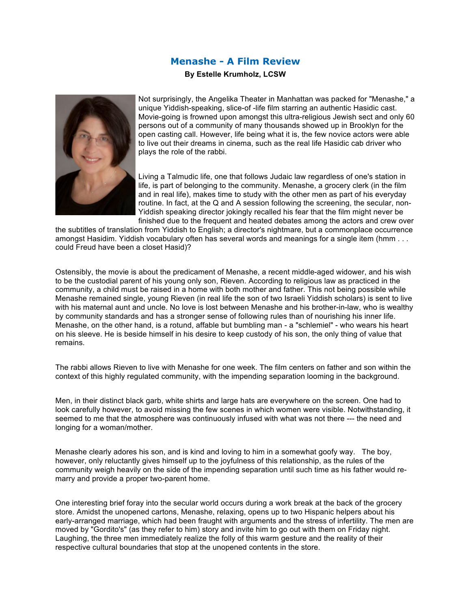## **Menashe - A Film Review**

## **By Estelle Krumholz, LCSW**



Not surprisingly, the Angelika Theater in Manhattan was packed for "Menashe," a unique Yiddish-speaking, slice-of -life film starring an authentic Hasidic cast. Movie-going is frowned upon amongst this ultra-religious Jewish sect and only 60 persons out of a community of many thousands showed up in Brooklyn for the open casting call. However, life being what it is, the few novice actors were able to live out their dreams in cinema, such as the real life Hasidic cab driver who plays the role of the rabbi.

Living a Talmudic life, one that follows Judaic law regardless of one's station in life, is part of belonging to the community. Menashe, a grocery clerk (in the film and in real life), makes time to study with the other men as part of his everyday routine. In fact, at the Q and A session following the screening, the secular, non-Yiddish speaking director jokingly recalled his fear that the film might never be finished due to the frequent and heated debates among the actors and crew over

the subtitles of translation from Yiddish to English; a director's nightmare, but a commonplace occurrence amongst Hasidim. Yiddish vocabulary often has several words and meanings for a single item (hmm . . . could Freud have been a closet Hasid)?

Ostensibly, the movie is about the predicament of Menashe, a recent middle-aged widower, and his wish to be the custodial parent of his young only son, Rieven. According to religious law as practiced in the community, a child must be raised in a home with both mother and father. This not being possible while Menashe remained single, young Rieven (in real life the son of two Israeli Yiddish scholars) is sent to live with his maternal aunt and uncle. No love is lost between Menashe and his brother-in-law, who is wealthy by community standards and has a stronger sense of following rules than of nourishing his inner life. Menashe, on the other hand, is a rotund, affable but bumbling man - a "schlemiel" - who wears his heart on his sleeve. He is beside himself in his desire to keep custody of his son, the only thing of value that remains.

The rabbi allows Rieven to live with Menashe for one week. The film centers on father and son within the context of this highly regulated community, with the impending separation looming in the background.

Men, in their distinct black garb, white shirts and large hats are everywhere on the screen. One had to look carefully however, to avoid missing the few scenes in which women were visible. Notwithstanding, it seemed to me that the atmosphere was continuously infused with what was not there --- the need and longing for a woman/mother.

Menashe clearly adores his son, and is kind and loving to him in a somewhat goofy way. The boy, however, only reluctantly gives himself up to the joyfulness of this relationship, as the rules of the community weigh heavily on the side of the impending separation until such time as his father would remarry and provide a proper two-parent home.

One interesting brief foray into the secular world occurs during a work break at the back of the grocery store. Amidst the unopened cartons, Menashe, relaxing, opens up to two Hispanic helpers about his early-arranged marriage, which had been fraught with arguments and the stress of infertility. The men are moved by "Gordito's" (as they refer to him) story and invite him to go out with them on Friday night. Laughing, the three men immediately realize the folly of this warm gesture and the reality of their respective cultural boundaries that stop at the unopened contents in the store.